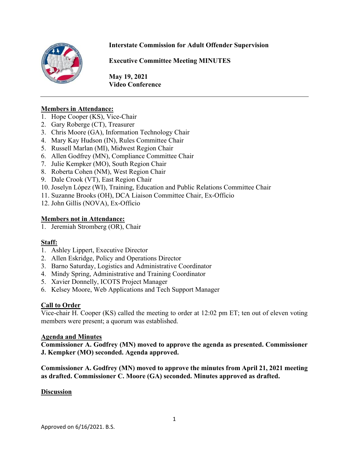#### **Interstate Commission for Adult Offender Supervision**



**Executive Committee Meeting MINUTES**

**May 19, 2021 Video Conference** 

#### **Members in Attendance:**

- 1. Hope Cooper (KS), Vice-Chair
- 2. Gary Roberge (CT), Treasurer
- 3. Chris Moore (GA), Information Technology Chair
- 4. Mary Kay Hudson (IN), Rules Committee Chair
- 5. Russell Marlan (MI), Midwest Region Chair
- 6. Allen Godfrey (MN), Compliance Committee Chair
- 7. Julie Kempker (MO), South Region Chair
- 8. Roberta Cohen (NM), West Region Chair
- 9. Dale Crook (VT), East Region Chair
- 10. Joselyn López (WI), Training, Education and Public Relations Committee Chair
- 11. Suzanne Brooks (OH), DCA Liaison Committee Chair, Ex-Officio
- 12. John Gillis (NOVA), Ex-Officio

#### **Members not in Attendance:**

1. Jeremiah Stromberg (OR), Chair

#### **Staff:**

- 1. Ashley Lippert, Executive Director
- 2. Allen Eskridge, Policy and Operations Director
- 3. Barno Saturday, Logistics and Administrative Coordinator
- 4. Mindy Spring, Administrative and Training Coordinator
- 5. Xavier Donnelly, ICOTS Project Manager
- 6. Kelsey Moore, Web Applications and Tech Support Manager

#### **Call to Order**

Vice-chair H. Cooper (KS) called the meeting to order at 12:02 pm ET; ten out of eleven voting members were present; a quorum was established.

#### **Agenda and Minutes**

**Commissioner A. Godfrey (MN) moved to approve the agenda as presented. Commissioner J. Kempker (MO) seconded. Agenda approved.** 

**Commissioner A. Godfrey (MN) moved to approve the minutes from April 21, 2021 meeting as drafted. Commissioner C. Moore (GA) seconded. Minutes approved as drafted.** 

#### **Discussion**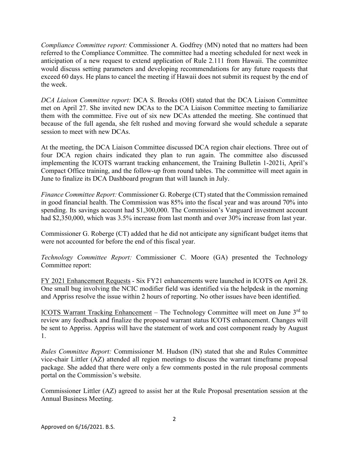*Compliance Committee report:* Commissioner A. Godfrey (MN) noted that no matters had been referred to the Compliance Committee. The committee had a meeting scheduled for next week in anticipation of a new request to extend application of Rule 2.111 from Hawaii. The committee would discuss setting parameters and developing recommendations for any future requests that exceed 60 days. He plans to cancel the meeting if Hawaii does not submit its request by the end of the week.

*DCA Liaison Committee report:* DCA S. Brooks (OH) stated that the DCA Liaison Committee met on April 27. She invited new DCAs to the DCA Liaison Committee meeting to familiarize them with the committee. Five out of six new DCAs attended the meeting. She continued that because of the full agenda, she felt rushed and moving forward she would schedule a separate session to meet with new DCAs.

At the meeting, the DCA Liaison Committee discussed DCA region chair elections. Three out of four DCA region chairs indicated they plan to run again. The committee also discussed implementing the ICOTS warrant tracking enhancement, the Training Bulletin 1-2021i, April's Compact Office training, and the follow-up from round tables. The committee will meet again in June to finalize its DCA Dashboard program that will launch in July.

*Finance Committee Report:* Commissioner G. Roberge (CT) stated that the Commission remained in good financial health. The Commission was 85% into the fiscal year and was around 70% into spending. Its savings account had \$1,300,000. The Commission's Vanguard investment account had \$2,350,000, which was 3.5% increase from last month and over 30% increase from last year.

Commissioner G. Roberge (CT) added that he did not anticipate any significant budget items that were not accounted for before the end of this fiscal year.

*Technology Committee Report:* Commissioner C. Moore (GA) presented the Technology Committee report:

FY 2021 Enhancement Requests - Six FY21 enhancements were launched in ICOTS on April 28. One small bug involving the NCIC modifier field was identified via the helpdesk in the morning and Appriss resolve the issue within 2 hours of reporting. No other issues have been identified.

ICOTS Warrant Tracking Enhancement – The Technology Committee will meet on June 3rd to review any feedback and finalize the proposed warrant status ICOTS enhancement. Changes will be sent to Appriss. Appriss will have the statement of work and cost component ready by August 1.

*Rules Committee Report:* Commissioner M. Hudson (IN) stated that she and Rules Committee vice-chair Littler (AZ) attended all region meetings to discuss the warrant timeframe proposal package. She added that there were only a few comments posted in the rule proposal comments portal on the Commission's website.

Commissioner Littler (AZ) agreed to assist her at the Rule Proposal presentation session at the Annual Business Meeting.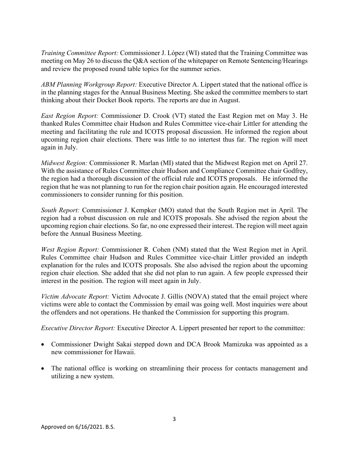*Training Committee Report:* Commissioner J. López (WI) stated that the Training Committee was meeting on May 26 to discuss the Q&A section of the whitepaper on Remote Sentencing/Hearings and review the proposed round table topics for the summer series.

*ABM Planning Workgroup Report:* Executive Director A. Lippert stated that the national office is in the planning stages for the Annual Business Meeting. She asked the committee members to start thinking about their Docket Book reports. The reports are due in August.

*East Region Report:* Commissioner D. Crook (VT) stated the East Region met on May 3. He thanked Rules Committee chair Hudson and Rules Committee vice-chair Littler for attending the meeting and facilitating the rule and ICOTS proposal discussion. He informed the region about upcoming region chair elections. There was little to no intertest thus far. The region will meet again in July.

*Midwest Region:* Commissioner R. Marlan (MI) stated that the Midwest Region met on April 27. With the assistance of Rules Committee chair Hudson and Compliance Committee chair Godfrey, the region had a thorough discussion of the official rule and ICOTS proposals. He informed the region that he was not planning to run for the region chair position again. He encouraged interested commissioners to consider running for this position.

*South Report:* Commissioner J. Kempker (MO) stated that the South Region met in April. The region had a robust discussion on rule and ICOTS proposals. She advised the region about the upcoming region chair elections. So far, no one expressed their interest. The region will meet again before the Annual Business Meeting.

*West Region Report:* Commissioner R. Cohen (NM) stated that the West Region met in April. Rules Committee chair Hudson and Rules Committee vice-chair Littler provided an indepth explanation for the rules and ICOTS proposals. She also advised the region about the upcoming region chair election. She added that she did not plan to run again. A few people expressed their interest in the position. The region will meet again in July.

*Victim Advocate Report:* Victim Advocate J. Gillis (NOVA) stated that the email project where victims were able to contact the Commission by email was going well. Most inquiries were about the offenders and not operations. He thanked the Commission for supporting this program.

*Executive Director Report:* Executive Director A. Lippert presented her report to the committee:

- Commissioner Dwight Sakai stepped down and DCA Brook Mamizuka was appointed as a new commissioner for Hawaii.
- The national office is working on streamlining their process for contacts management and utilizing a new system.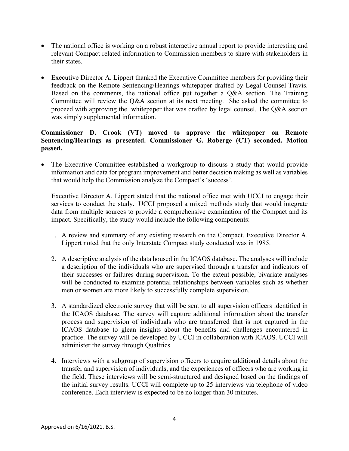- The national office is working on a robust interactive annual report to provide interesting and relevant Compact related information to Commission members to share with stakeholders in their states.
- Executive Director A. Lippert thanked the Executive Committee members for providing their feedback on the Remote Sentencing/Hearings whitepaper drafted by Legal Counsel Travis. Based on the comments, the national office put together a Q&A section. The Training Committee will review the Q&A section at its next meeting. She asked the committee to proceed with approving the whitepaper that was drafted by legal counsel. The Q&A section was simply supplemental information.

#### **Commissioner D. Crook (VT) moved to approve the whitepaper on Remote Sentencing/Hearings as presented. Commissioner G. Roberge (CT) seconded. Motion passed.**

• The Executive Committee established a workgroup to discuss a study that would provide information and data for program improvement and better decision making as well as variables that would help the Commission analyze the Compact's 'success'.

Executive Director A. Lippert stated that the national office met with UCCI to engage their services to conduct the study. UCCI proposed a mixed methods study that would integrate data from multiple sources to provide a comprehensive examination of the Compact and its impact. Specifically, the study would include the following components:

- 1. A review and summary of any existing research on the Compact. Executive Director A. Lippert noted that the only Interstate Compact study conducted was in 1985.
- 2. A descriptive analysis of the data housed in the ICAOS database. The analyses will include a description of the individuals who are supervised through a transfer and indicators of their successes or failures during supervision. To the extent possible, bivariate analyses will be conducted to examine potential relationships between variables such as whether men or women are more likely to successfully complete supervision.
- 3. A standardized electronic survey that will be sent to all supervision officers identified in the ICAOS database. The survey will capture additional information about the transfer process and supervision of individuals who are transferred that is not captured in the ICAOS database to glean insights about the benefits and challenges encountered in practice. The survey will be developed by UCCI in collaboration with ICAOS. UCCI will administer the survey through Qualtrics.
- 4. Interviews with a subgroup of supervision officers to acquire additional details about the transfer and supervision of individuals, and the experiences of officers who are working in the field. These interviews will be semi-structured and designed based on the findings of the initial survey results. UCCI will complete up to 25 interviews via telephone of video conference. Each interview is expected to be no longer than 30 minutes.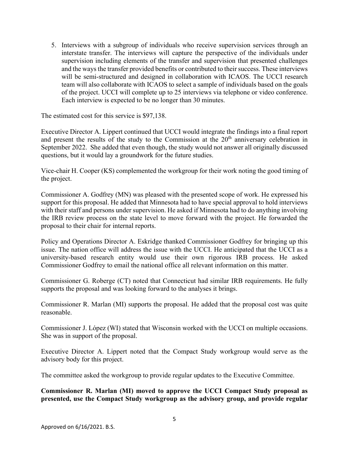5. Interviews with a subgroup of individuals who receive supervision services through an interstate transfer. The interviews will capture the perspective of the individuals under supervision including elements of the transfer and supervision that presented challenges and the ways the transfer provided benefits or contributed to their success. These interviews will be semi-structured and designed in collaboration with ICAOS. The UCCI research team will also collaborate with ICAOS to select a sample of individuals based on the goals of the project. UCCI will complete up to 25 interviews via telephone or video conference. Each interview is expected to be no longer than 30 minutes.

The estimated cost for this service is \$97,138.

Executive Director A. Lippert continued that UCCI would integrate the findings into a final report and present the results of the study to the Commission at the 20<sup>th</sup> anniversary celebration in September 2022. She added that even though, the study would not answer all originally discussed questions, but it would lay a groundwork for the future studies.

Vice-chair H. Cooper (KS) complemented the workgroup for their work noting the good timing of the project.

Commissioner A. Godfrey (MN) was pleased with the presented scope of work. He expressed his support for this proposal. He added that Minnesota had to have special approval to hold interviews with their staff and persons under supervision. He asked if Minnesota had to do anything involving the IRB review process on the state level to move forward with the project. He forwarded the proposal to their chair for internal reports.

Policy and Operations Director A. Eskridge thanked Commissioner Godfrey for bringing up this issue. The nation office will address the issue with the UCCI. He anticipated that the UCCI as a university-based research entity would use their own rigorous IRB process. He asked Commissioner Godfrey to email the national office all relevant information on this matter.

Commissioner G. Roberge (CT) noted that Connecticut had similar IRB requirements. He fully supports the proposal and was looking forward to the analyses it brings.

Commissioner R. Marlan (MI) supports the proposal. He added that the proposal cost was quite reasonable.

Commissioner J. López (WI) stated that Wisconsin worked with the UCCI on multiple occasions. She was in support of the proposal.

Executive Director A. Lippert noted that the Compact Study workgroup would serve as the advisory body for this project.

The committee asked the workgroup to provide regular updates to the Executive Committee.

**Commissioner R. Marlan (MI) moved to approve the UCCI Compact Study proposal as presented, use the Compact Study workgroup as the advisory group, and provide regular**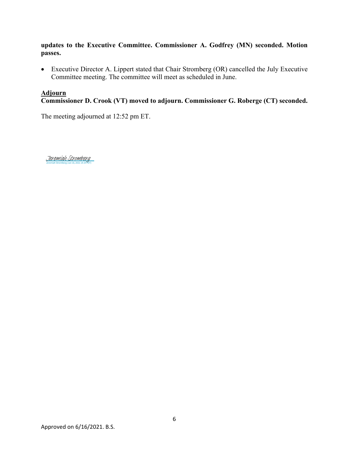**updates to the Executive Committee. Commissioner A. Godfrey (MN) seconded. Motion passes.** 

• Executive Director A. Lippert stated that Chair Stromberg (OR) cancelled the July Executive Committee meeting. The committee will meet as scheduled in June.

### **Adjourn**

**Commissioner D. Crook (VT) moved to adjourn. Commissioner G. Roberge (CT) seconded.** 

The meeting adjourned at 12:52 pm ET.

Jeremiah Stromberg (Jun 16, 2021 14:19 PDT) [Jeremiah Stromberg](https://eu1.documents.adobe.com/verifier?tx=CBJCHBCAABAACEy52f4jnku6yYaJbTuv2gG0M3xMW6pP)